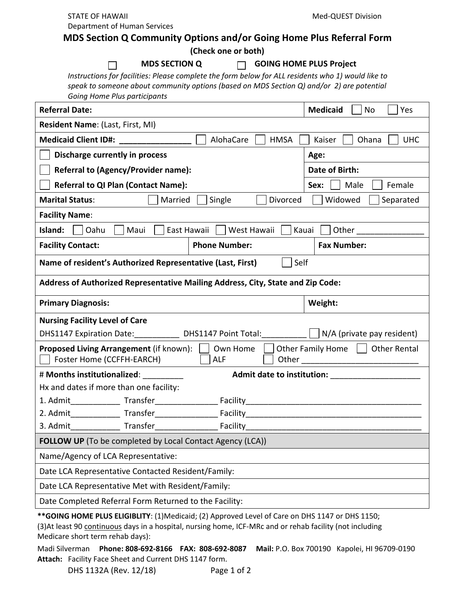Department of Human Services

**(Check one or both)**

 **MDS SECTION Q GOING HOME PLUS Project**

*Instructions for facilities: Please complete the form below for ALL residents who 1) would like to speak to someone about community options (based on MDS Section Q) and/or 2) are potential Going Home Plus participants*

| <b>Referral Date:</b>                                                                                                                          | <b>Medicaid</b><br>Yes<br>No  |
|------------------------------------------------------------------------------------------------------------------------------------------------|-------------------------------|
| Resident Name: (Last, First, MI)                                                                                                               |                               |
| AlohaCare<br><b>HMSA</b><br>Medicaid Client ID#: _________________                                                                             | Ohana<br><b>UHC</b><br>Kaiser |
| Discharge currently in process                                                                                                                 | Age:                          |
| <b>Referral to (Agency/Provider name):</b>                                                                                                     | Date of Birth:                |
| <b>Referral to QI Plan (Contact Name):</b>                                                                                                     | Male<br>Sex:<br>Female        |
| Married<br>Single<br>Divorced<br><b>Marital Status:</b>                                                                                        | Widowed<br>Separated          |
| <b>Facility Name:</b>                                                                                                                          |                               |
| Island:<br>East Hawaii<br>West Hawaii<br>Oahu<br>Maui<br>Kauai<br>Other_                                                                       |                               |
| <b>Facility Contact:</b><br><b>Phone Number:</b>                                                                                               | <b>Fax Number:</b>            |
| Name of resident's Authorized Representative (Last, First)<br>Self                                                                             |                               |
| Address of Authorized Representative Mailing Address, City, State and Zip Code:                                                                |                               |
| <b>Primary Diagnosis:</b>                                                                                                                      | Weight:                       |
| <b>Nursing Facility Level of Care</b>                                                                                                          |                               |
| DHS1147 Expiration Date: DHS1147 Point Total: N/A (private pay resident)                                                                       |                               |
| <b>Proposed Living Arrangement</b> (if known):     Own Home  <br>Other Family Home     Other Rental<br>Foster Home (CCFFH-EARCH)<br><b>ALF</b> |                               |
| # Months institutionalized:<br><b>Admit date to institution:</b>                                                                               |                               |
| Hx and dates if more than one facility:                                                                                                        |                               |
|                                                                                                                                                |                               |
|                                                                                                                                                |                               |
|                                                                                                                                                |                               |
| FOLLOW UP (To be completed by Local Contact Agency (LCA))                                                                                      |                               |
| Name/Agency of LCA Representative:                                                                                                             |                               |
| Date LCA Representative Contacted Resident/Family:                                                                                             |                               |
| Date LCA Representative Met with Resident/Family:                                                                                              |                               |
| Date Completed Referral Form Returned to the Facility:                                                                                         |                               |
| ** GOING HOME PLUS ELIGIBLITY: (1) Medicaid; (2) Approved Level of Care on DHS 1147 or DHS 1150;                                               |                               |

(3)At least 90 continuous days in a hospital, nursing home, ICF-MRc and or rehab facility (not including Medicare short term rehab days):

Madi Silverman **Phone: 808-692-8166 FAX: 808-692-8087 Mail:** P.O. Box 700190 Kapolei, HI 96709-0190 **Attach:** Facility Face Sheet and Current DHS 1147 form.